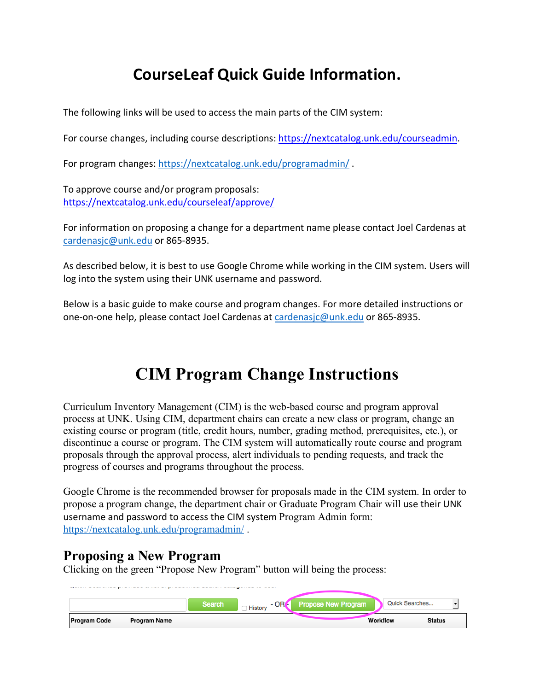# **CourseLeaf Quick Guide Information.**

The following links will be used to access the main parts of the CIM system:

For course changes, including course descriptions: https://nextcatalog.unk.edu/courseadmin.

For program changes: https://nextcatalog.unk.edu/programadmin/ .

To approve course and/or program proposals: https://nextcatalog.unk.edu/courseleaf/approve/

For information on proposing a change for a department name please contact Joel Cardenas at cardenasjc@unk.edu or 865-8935.

As described below, it is best to use Google Chrome while working in the CIM system. Users will log into the system using their UNK username and password.

Below is a basic guide to make course and program changes. For more detailed instructions or one-on-one help, please contact Joel Cardenas at cardenasjc@unk.edu or 865-8935.

# **CIM Program Change Instructions**

Curriculum Inventory Management (CIM) is the web-based course and program approval process at UNK. Using CIM, department chairs can create a new class or program, change an existing course or program (title, credit hours, number, grading method, prerequisites, etc.), or discontinue a course or program. The CIM system will automatically route course and program proposals through the approval process, alert individuals to pending requests, and track the progress of courses and programs throughout the process.

Google Chrome is the recommended browser for proposals made in the CIM system. In order to propose a program change, the department chair or Graduate Program Chair will use their UNK username and password to access the CIM system Program Admin form: https://nextcatalog.unk.edu/programadmin/ .

# **Proposing a New Program**

Clicking on the green "Propose New Program" button will being the process:

| Quick Searches<br>$-$ OR $\epsilon$<br><b>Propose New Program</b><br>Search<br><b>History</b> | <b>Program Code</b> | Program Name |  | Workflow | <b>Status</b> |
|-----------------------------------------------------------------------------------------------|---------------------|--------------|--|----------|---------------|
|                                                                                               |                     |              |  |          |               |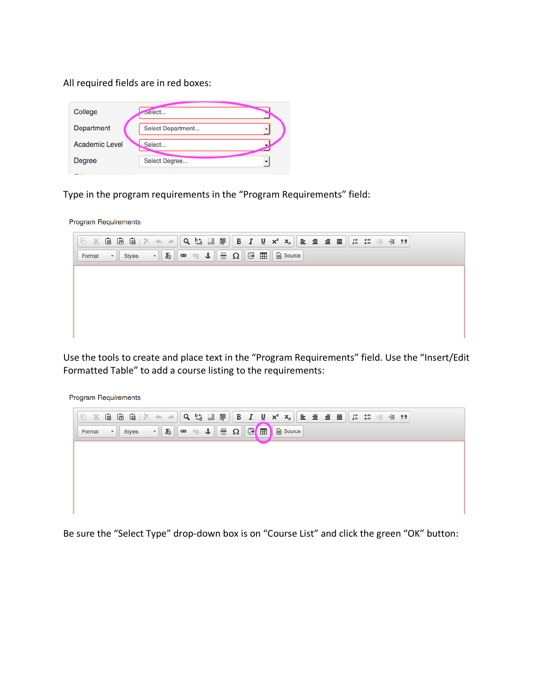All required fields are in red boxes:

| College               | belect            |  |
|-----------------------|-------------------|--|
| Department            | Select Department |  |
| <b>Academic Level</b> | Select            |  |
| Degree                | Select Degree     |  |
| $-$                   |                   |  |

Type in the program requirements in the "Program Requirements" field:

**Program Requirements** 

| $\lceil\mathbb{G}\rceil$ $\times$ 6 & $\mathbb{G}\rceil$ $\lceil\mathsf{Q}\rceil$ $\sim$ $\sim$ $\lceil\mathsf{Q}\rceil$ $\sim$ $\mathbb{E}\rceil$ $\lceil\mathsf{B}\rceil$ $I$ $\lceil\mathsf{U}\rceil$ $\mathsf{x}$ $\lceil\mathsf{x}\rceil$ $\lceil\mathsf{E}\rceil$ $\lceil\mathsf{E}\rceil$ $\lceil\mathsf{E}\rceil$ $\lceil\mathsf{E}\rceil$ $\lceil\mathsf{E}\rceil$ $\lceil\mathsf{E}\$ |                                                                                                                                                                                                                                                                                                            |  |  |  |  |  |  |  |  |  |
|-------------------------------------------------------------------------------------------------------------------------------------------------------------------------------------------------------------------------------------------------------------------------------------------------------------------------------------------------------------------------------------------------|------------------------------------------------------------------------------------------------------------------------------------------------------------------------------------------------------------------------------------------------------------------------------------------------------------|--|--|--|--|--|--|--|--|--|
| Format                                                                                                                                                                                                                                                                                                                                                                                          | $\ \cdot\ $ Styles $\ \cdot\ $ is $\ \cdot\ $ and $\ \cdot\ $ in $\mathbb{R}$ in $\mathbb{R}$ in $\mathbb{R}$ in $\mathbb{R}$ in $\mathbb{R}$ in $\mathbb{R}$ in $\mathbb{R}$ in $\mathbb{R}$ in $\mathbb{R}$ in $\mathbb{R}$ in $\mathbb{R}$ in $\mathbb{R}$ in $\mathbb{R}$ in $\mathbb{R}$ in $\mathbb$ |  |  |  |  |  |  |  |  |  |
|                                                                                                                                                                                                                                                                                                                                                                                                 |                                                                                                                                                                                                                                                                                                            |  |  |  |  |  |  |  |  |  |
|                                                                                                                                                                                                                                                                                                                                                                                                 |                                                                                                                                                                                                                                                                                                            |  |  |  |  |  |  |  |  |  |
|                                                                                                                                                                                                                                                                                                                                                                                                 |                                                                                                                                                                                                                                                                                                            |  |  |  |  |  |  |  |  |  |
|                                                                                                                                                                                                                                                                                                                                                                                                 |                                                                                                                                                                                                                                                                                                            |  |  |  |  |  |  |  |  |  |
|                                                                                                                                                                                                                                                                                                                                                                                                 |                                                                                                                                                                                                                                                                                                            |  |  |  |  |  |  |  |  |  |

Use the tools to create and place text in the "Program Requirements" field. Use the "Insert/Edit Formatted Table" to add a course listing to the requirements:

**Program Requirements** 

|        | $\mathbb{R}^n$ & G G $\mathbb{G}^n \setminus \mathbb{R}^n \rightarrow \mathbb{R}^n$ Q $\mathbb{G}^n$ , $\mathbb{F}^n$   B $I$ U $x^2$ $x_n$   E $\mathbb{E}^n$ and $\mathbb{E}^n$ is a set $\mathbb{F}^n$ |  |
|--------|-----------------------------------------------------------------------------------------------------------------------------------------------------------------------------------------------------------|--|
| Format |                                                                                                                                                                                                           |  |
|        |                                                                                                                                                                                                           |  |
|        |                                                                                                                                                                                                           |  |
|        |                                                                                                                                                                                                           |  |
|        |                                                                                                                                                                                                           |  |
|        |                                                                                                                                                                                                           |  |

Be sure the "Select Type" drop-down box is on "Course List" and click the green "OK" button: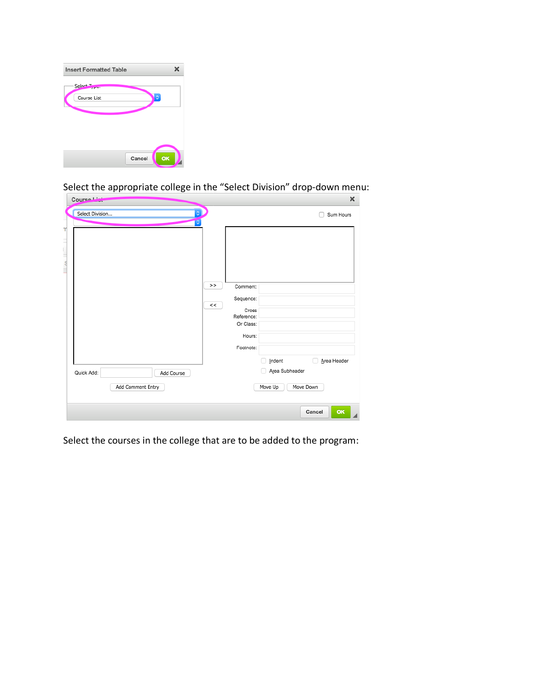| <b>Insert Formatted Table</b>                  |        | x  |
|------------------------------------------------|--------|----|
| Select <sub>T</sub><br>وتحاملون<br>Course List | ٥      |    |
|                                                | Cancel | OK |

Select the appropriate college in the "Select Division" drop-down menu:

| Select Division |                   |            | $\hat{\mathbf{c}}$<br>़ |                         |                | Sum Hours        |
|-----------------|-------------------|------------|-------------------------|-------------------------|----------------|------------------|
|                 |                   |            |                         |                         |                |                  |
|                 |                   |            |                         |                         |                |                  |
|                 |                   |            |                         |                         |                |                  |
|                 |                   |            |                         |                         |                |                  |
|                 |                   |            | >                       | Comment:                |                |                  |
|                 |                   |            |                         | Sequence:               |                |                  |
|                 |                   |            | <<                      | Cross                   |                |                  |
|                 |                   |            |                         | Reference:<br>Or Class: |                |                  |
|                 |                   |            |                         | Hours:                  |                |                  |
|                 |                   |            |                         | Footnote:               |                |                  |
|                 |                   |            |                         |                         | Indent         | Area Header<br>п |
| Quick Add:      |                   | Add Course |                         |                         | Area Subheader |                  |
|                 | Add Comment Entry |            |                         |                         | Move Up        | Move Down        |
|                 |                   |            |                         |                         |                |                  |

Select the courses in the college that are to be added to the program: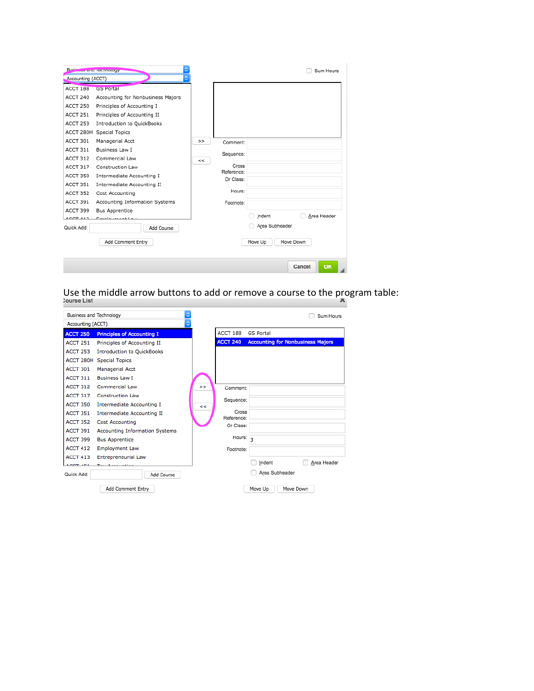| Business and Technology |                                   |    |                         |                | Sum Hours    |
|-------------------------|-----------------------------------|----|-------------------------|----------------|--------------|
| Accounting (ACCT)       | õ                                 |    |                         |                |              |
| ACCT 188                | <b>GS Portal</b>                  |    |                         |                |              |
| ACCT 240                | Accounting for Nonbusiness Majors |    |                         |                |              |
| ACCT 250                | Principles of Accounting I        |    |                         |                |              |
| ACCT 251                | Principles of Accounting II       |    |                         |                |              |
| ACCT 253                | <b>Introduction to QuickBooks</b> |    |                         |                |              |
|                         | ACCT 280H Special Topics          |    |                         |                |              |
| ACCT 301                | Managerial Acct                   | >  | Comment:                |                |              |
| ACCT 311                | <b>Business Law I</b>             |    |                         |                |              |
| ACCT 312                | Commercial Law                    | << | Sequence:               |                |              |
| ACCT 317                | Construction Law                  |    | Cross                   |                |              |
| <b>ACCT 350</b>         | Intermediate Accounting I         |    | Reference:<br>Or Class: |                |              |
| ACCT 351                | Intermediate Accounting II        |    |                         |                |              |
| <b>ACCT 352</b>         | Cost Accounting                   |    | Hours:                  |                |              |
| ACCT 391                | Accounting Information Systems    |    | Footnote:               |                |              |
| ACCT 399                | <b>Bus Apprentice</b>             |    |                         |                |              |
| $A$ $A$ $A$ $B$         | Faralacterari Leo                 |    |                         | Indent         | Area Header  |
| Quick Add:              | Add Course                        |    |                         | Area Subheader |              |
|                         | Add Comment Entry                 |    |                         | Move Up        | Move Down    |
|                         |                                   |    |                         |                |              |
|                         |                                   |    |                         |                | OK<br>Cancel |

Use the middle arrow buttons to add or remove a course to the program table:<br>  $\sum_{n=1}^{\infty}$ 

| Business and Technology |                                       |                          |                      | Sum Hours                                |
|-------------------------|---------------------------------------|--------------------------|----------------------|------------------------------------------|
| Accounting (ACCT)       | ٥                                     |                          |                      |                                          |
| <b>ACCT 250</b>         | <b>Principles of Accounting I</b>     |                          | ACCT 188             | <b>GS Portal</b>                         |
| <b>ACCT 251</b>         | Principles of Accounting II           |                          | <b>ACCT 240</b>      | <b>Accounting for Nonbusiness Majors</b> |
| <b>ACCT 253</b>         | <b>Introduction to QuickBooks</b>     |                          |                      |                                          |
|                         | <b>ACCT 280H Special Topics</b>       |                          |                      |                                          |
| ACCT 301                | <b>Managerial Acct</b>                |                          |                      |                                          |
| ACCT 311                | <b>Business Law T</b>                 |                          |                      |                                          |
| <b>ACCT 312</b>         | Commercial Law                        | $\overline{\phantom{1}}$ | Comment:             |                                          |
| <b>ACCT 317</b>         | <b>Construction Law</b>               |                          | Sequence:            |                                          |
| <b>ACCT 350</b>         | <b>Intermediate Accounting I</b>      | k.                       |                      |                                          |
| <b>ACCT 351</b>         | <b>Intermediate Accounting II</b>     |                          | Cross<br>Reference:  |                                          |
| <b>ACCT 352</b>         | <b>Cost Accounting</b>                |                          | Or Class:            |                                          |
| <b>ACCT 391</b>         | <b>Accounting Information Systems</b> |                          |                      |                                          |
| ACCT 399                | <b>Bus Apprentice</b>                 |                          | Hours: $\frac{1}{3}$ |                                          |
| <b>ACCT 412</b>         | <b>Employment Law</b>                 |                          | Footnote:            |                                          |
| <b>ACCT 413</b>         | <b>Entrepreneurial Law</b>            |                          |                      |                                          |
| ACCT ATA                | Total American Marie                  |                          |                      | Area Header<br>Indent                    |
| Quick Add:              | Add Course                            |                          |                      | Area Subheader                           |
|                         | Add Comment Entry                     |                          |                      | Move Down<br>Move Up                     |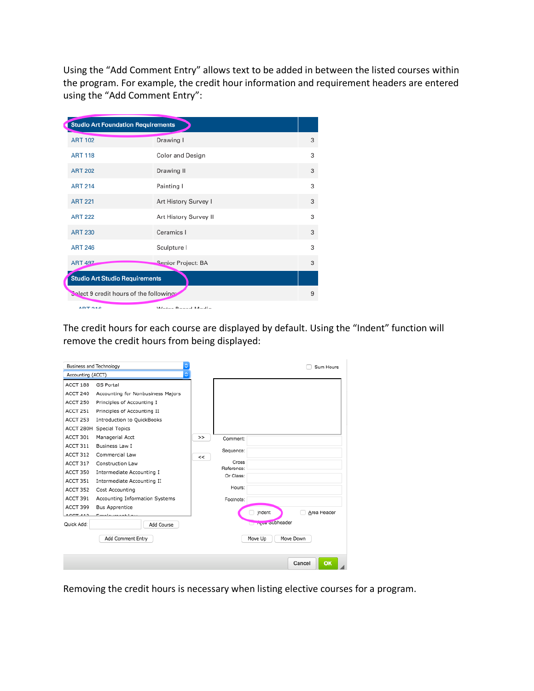Using the "Add Comment Entry" allows text to be added in between the listed courses within the program. For example, the credit hour information and requirement headers are entered using the "Add Comment Entry":

| <b>Studio Art Foundation Requirements</b> |                       |   |
|-------------------------------------------|-----------------------|---|
| <b>ART 102</b>                            | Drawing I             | 3 |
| <b>ART 118</b>                            | Color and Design      | 3 |
| <b>ART 202</b>                            | Drawing II            | 3 |
| <b>ART 214</b>                            | Painting I            | 3 |
| <b>ART 221</b>                            | Art History Survey I  | 3 |
| <b>ART 222</b>                            | Art History Survey II | 3 |
| <b>ART 230</b>                            | Ceramics I            | 3 |
| <b>ART 246</b>                            | Sculpture I           | 3 |
| <b>ART 497</b>                            | Senior Project: BA    | 3 |
| <b>Studio Art Studio Requirements</b>     |                       |   |
| Solect 9 credit hours of the following:   |                       | 9 |
| ADT 040                                   | Mater Beard Madie     |   |

The credit hours for each course are displayed by default. Using the "Indent" function will remove the credit hours from being displayed:

| Business and Technology |                                   |    |                     |                           | Sum Hours    |
|-------------------------|-----------------------------------|----|---------------------|---------------------------|--------------|
| Accounting (ACCT)       | ¢                                 |    |                     |                           |              |
| ACCT 188                | <b>GS Portal</b>                  |    |                     |                           |              |
| ACCT 240                | Accounting for Nonbusiness Majors |    |                     |                           |              |
| <b>ACCT 250</b>         | Principles of Accounting I        |    |                     |                           |              |
| ACCT 251                | Principles of Accounting II       |    |                     |                           |              |
| ACCT 253                | <b>Introduction to QuickBooks</b> |    |                     |                           |              |
|                         | ACCT 280H Special Topics          |    |                     |                           |              |
| ACCT 301                | Managerial Acct                   | >  | Comment:            |                           |              |
| ACCT 311                | <b>Business Law I</b>             |    | Sequence:           |                           |              |
| ACCT 312                | Commercial Law                    | << |                     |                           |              |
| ACCT 317                | Construction Law                  |    | Cross<br>Reference: |                           |              |
| ACCT 350                | Intermediate Accounting I         |    | Or Class:           |                           |              |
| ACCT 351                | Intermediate Accounting II        |    |                     |                           |              |
| ACCT 352                | Cost Accounting                   |    | Hours:              |                           |              |
| ACCT 391                | Accounting Information Systems    |    | Footnote:           |                           |              |
| ACCT 399                | <b>Bus Apprentice</b>             |    |                     | Indent                    | Area Header  |
| $A$ $C$ $T$ $A$ $A$ $T$ | Ford and a second to an           |    |                     |                           |              |
| Quick Add:              | Add Course                        |    |                     | <b>Chrysler Subheader</b> |              |
|                         | Add Comment Entry                 |    |                     | Move Up                   | Move Down    |
|                         |                                   |    |                     |                           | OK<br>Cancel |

Removing the credit hours is necessary when listing elective courses for a program.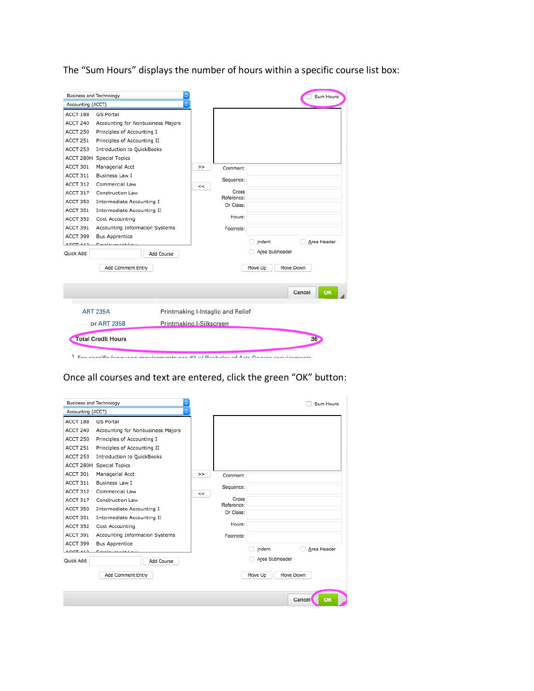The "Sum Hours" displays the number of hours within a specific course list box:

| Business and Technology |                                                                                       |                                   |                | Sum Hours       |
|-------------------------|---------------------------------------------------------------------------------------|-----------------------------------|----------------|-----------------|
| Accounting (ACCT)       | õ                                                                                     |                                   |                |                 |
| ACCT 188                | <b>GS Portal</b>                                                                      |                                   |                |                 |
| ACCT 240                | Accounting for Nonbusiness Majors                                                     |                                   |                |                 |
| <b>ACCT 250</b>         | Principles of Accounting I                                                            |                                   |                |                 |
| <b>ACCT 251</b>         | Principles of Accounting II                                                           |                                   |                |                 |
| ACCT 253                | <b>Introduction to QuickBooks</b>                                                     |                                   |                |                 |
|                         | ACCT 280H Special Topics                                                              |                                   |                |                 |
| ACCT 301                | Managerial Acct                                                                       | ><br>Comment:                     |                |                 |
| ACCT 311                | <b>Business Law I</b>                                                                 | Sequence:                         |                |                 |
| ACCT 312                | Commercial Law                                                                        | $\lt$                             |                |                 |
| ACCT 317                | Construction Law                                                                      | Cross<br>Reference:               |                |                 |
| ACCT 350                | Intermediate Accounting I                                                             | Or Class:                         |                |                 |
| ACCT 351                | Intermediate Accounting II                                                            |                                   |                |                 |
| ACCT 352                | Cost Accounting                                                                       | Hours:                            |                |                 |
| ACCT 391                | Accounting Information Systems                                                        | Footnote:                         |                |                 |
| ACCT 399                | <b>Bus Apprentice</b>                                                                 |                                   |                | Area Header     |
| 0.007.412               |                                                                                       |                                   | Indent         |                 |
| Quick Add:              | Add Course                                                                            |                                   | Area Subheader |                 |
|                         | Add Comment Entry                                                                     |                                   | Move Up        | Move Down       |
|                         |                                                                                       |                                   |                | OK<br>Cancel    |
|                         | <b>ART 235A</b>                                                                       | Printmaking I-Intaglio and Relief |                |                 |
|                         | or ART 235B                                                                           | Printmaking I-Silkscreen          |                |                 |
|                         | <b>Total Credit Hours</b>                                                             |                                   |                | 36 <sub>2</sub> |
|                         | $1$ Ear engaifia languaga raquiramente can #9 of Bacholor of Arte Dogram raquiramente |                                   |                |                 |

Once all courses and text are entered, click the green "OK" button:

| Business and Technology |                                   |    |                     |                | Sum Hours    |
|-------------------------|-----------------------------------|----|---------------------|----------------|--------------|
| Accounting (ACCT)       | ٥                                 |    |                     |                |              |
| <b>ACCT 188</b>         | GS Portal                         |    |                     |                |              |
| ACCT 240                | Accounting for Nonbusiness Majors |    |                     |                |              |
| ACCT 250                | Principles of Accounting I        |    |                     |                |              |
| ACCT 251                | Principles of Accounting II       |    |                     |                |              |
| ACCT 253                | <b>Introduction to QuickBooks</b> |    |                     |                |              |
|                         | ACCT 280H Special Topics          |    |                     |                |              |
| ACCT 301                | Managerial Acct                   | >  | Comment:            |                |              |
| ACCT 311                | Business Law I                    |    | Sequence:           |                |              |
| ACCT 312                | Commercial Law                    | << |                     |                |              |
| ACCT 317                | Construction Law                  |    | Cross<br>Reference: |                |              |
| ACCT 350                | Intermediate Accounting I         |    | Or Class:           |                |              |
| ACCT 351                | Intermediate Accounting II        |    |                     |                |              |
| ACCT 352                | Cost Accounting                   |    | Hours:              |                |              |
| ACCT 391                | Accounting Information Systems    |    | Footnote:           |                |              |
| ACCT 399                | <b>Bus Apprentice</b>             |    |                     |                |              |
| $100T + 117$            | Faculty and the                   |    |                     | Indent         | Area Header  |
| Quick Add:              | Add Course                        |    |                     | Area Subheader |              |
|                         | Add Comment Entry                 |    |                     | Move Up        | Move Down    |
|                         |                                   |    |                     |                | Cancel<br>OK |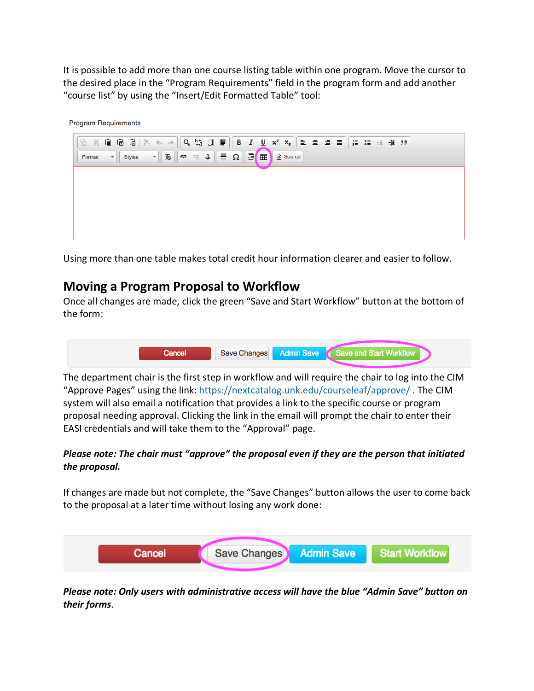It is possible to add more than one course listing table within one program. Move the cursor to the desired place in the "Program Requirements" field in the program form and add another "course list" by using the "Insert/Edit Formatted Table" tool:

**Program Requirements** 



Using more than one table makes total credit hour information clearer and easier to follow.

### **Moving a Program Proposal to Workflow**

Once all changes are made, click the green "Save and Start Workflow" button at the bottom of the form:



The department chair is the first step in workflow and will require the chair to log into the CIM "Approve Pages" using the link: https://nextcatalog.unk.edu/courseleaf/approve/ . The CIM system will also email a notification that provides a link to the specific course or program proposal needing approval. Clicking the link in the email will prompt the chair to enter their EASI credentials and will take them to the "Approval" page.

#### *Please note: The chair must "approve" the proposal even if they are the person that initiated the proposal.*

If changes are made but not complete, the "Save Changes" button allows the user to come back to the proposal at a later time without losing any work done:



*Please note: Only users with administrative access will have the blue "Admin Save" button on their forms*.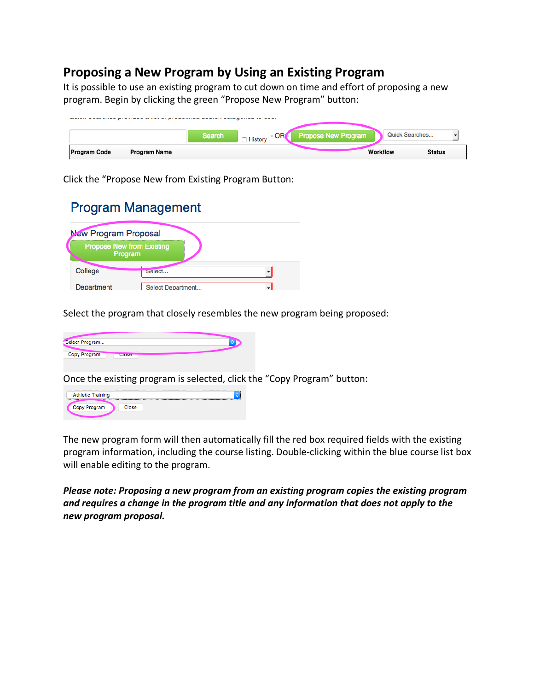# **Proposing a New Program by Using an Existing Program**

It is possible to use an existing program to cut down on time and effort of proposing a new program. Begin by clicking the green "Propose New Program" button:

|                     |              | <b>Search</b> | $-$ OR $\epsilon$<br><b>History</b> | <b>Propose New Program</b> | <b>Quick Searches</b> |               |
|---------------------|--------------|---------------|-------------------------------------|----------------------------|-----------------------|---------------|
| <b>Program Code</b> | Program Name |               |                                     |                            | Workflow              | <b>Status</b> |

Click the "Propose New from Existing Program Button:

# **Program Management**

| <b>New Program Proposal</b>                 |                   |  |
|---------------------------------------------|-------------------|--|
| <b>Propose New from Existing</b><br>Program |                   |  |
| College                                     | select            |  |
| Department                                  | Select Department |  |

Select the program that closely resembles the new program being proposed:

| Select Program |       |  |
|----------------|-------|--|
| Copy Program   |       |  |
|                | Gluse |  |
|                |       |  |

Once the existing program is selected, click the "Copy Program" button:



The new program form will then automatically fill the red box required fields with the existing program information, including the course listing. Double-clicking within the blue course list box will enable editing to the program.

*Please note: Proposing a new program from an existing program copies the existing program and requires a change in the program title and any information that does not apply to the new program proposal.*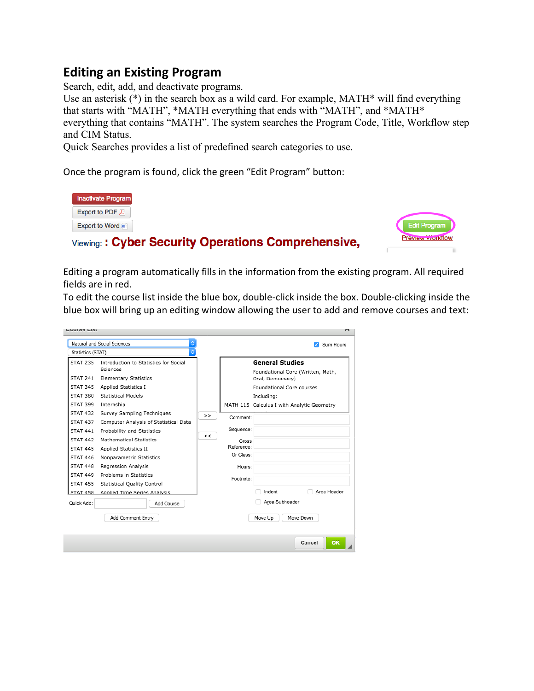# **Editing an Existing Program**

Search, edit, add, and deactivate programs.

Use an asterisk (\*) in the search box as a wild card. For example, MATH\* will find everything that starts with "MATH", \*MATH everything that ends with "MATH", and \*MATH\* everything that contains "MATH". The system searches the Program Code, Title, Workflow step and CIM Status.

Quick Searches provides a list of predefined search categories to use.

Once the program is found, click the green "Edit Program" button:

Viewing: : Cyber Security Operations Comprehensive,

| <b>Inactivate Program</b>      |
|--------------------------------|
| Export to PDF $\triangleright$ |
| Export to Word                 |



Editing a program automatically fills in the information from the existing program. All required fields are in red.

To edit the course list inside the blue box, double-click inside the box. Double-clicking inside the blue box will bring up an editing window allowing the user to add and remove courses and text:

|                                                                                                                                                                                                                                                                                                                       | Natural and Social Sciences                                                                                                                                                                                                                                                                                                                                                                                                                                             |             |                                                                                  |                                                                                                                   | Sum Hours                                                                                      |
|-----------------------------------------------------------------------------------------------------------------------------------------------------------------------------------------------------------------------------------------------------------------------------------------------------------------------|-------------------------------------------------------------------------------------------------------------------------------------------------------------------------------------------------------------------------------------------------------------------------------------------------------------------------------------------------------------------------------------------------------------------------------------------------------------------------|-------------|----------------------------------------------------------------------------------|-------------------------------------------------------------------------------------------------------------------|------------------------------------------------------------------------------------------------|
| Statistics (STAT)<br><b>STAT 235</b><br><b>STAT 241</b><br><b>STAT 345</b><br>STAT 380<br><b>STAT 399</b><br><b>STAT 432</b><br><b>STAT 437</b><br><b>STAT 441</b><br><b>STAT 442</b><br><b>STAT 445</b><br><b>STAT 446</b><br><b>STAT 448</b><br><b>STAT 449</b><br><b>STAT 455</b><br><b>STAT 458</b><br>Quick Add: | Introduction to Statistics for Social<br>Sciences<br><b>Elementary Statistics</b><br>Applied Statistics I<br><b>Statistical Models</b><br>Internship<br>Survey Sampling Techniques<br>Computer Analysis of Statistical Data<br>Probability and Statistics<br>Mathematical Statistics<br>Applied Statistics II<br>Nonparametric Statistics<br>Regression Analysis<br>Problems in Statistics<br>Statistical Quality Control<br>Applied Time Series Analysis<br>Add Course | $\gt$<br><< | Comment:<br>Sequence:<br>Cross<br>Reference:<br>Or Class:<br>Hours:<br>Footnote: | <b>General Studies</b><br>Oral, Democracy)<br>Foundational Core courses<br>Including:<br>Indent<br>Area Subheader | Foundational Core (Written, Math,<br>MATH 115 Calculus I with Analytic Geometry<br>Area Header |
|                                                                                                                                                                                                                                                                                                                       | Add Comment Entry                                                                                                                                                                                                                                                                                                                                                                                                                                                       |             |                                                                                  | Move Up                                                                                                           | Move Down                                                                                      |